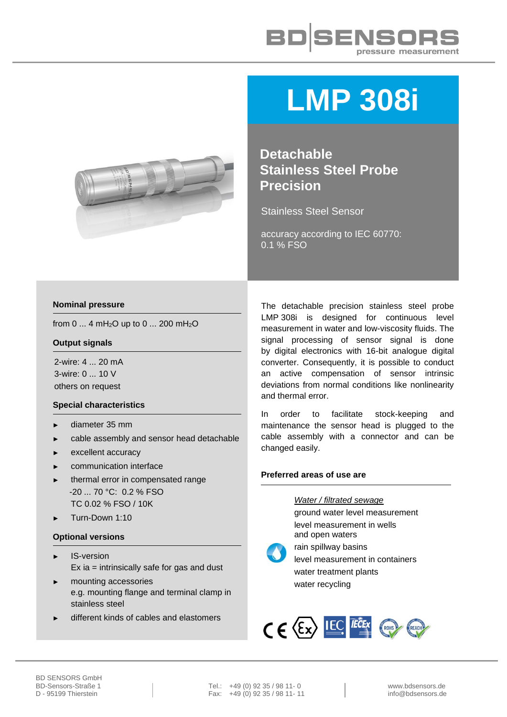



# **LMP 308i**

**Detachable Stainless Steel Probe Precision**

Stainless Steel Sensor

accuracy according to IEC 60770: 0.1 % FSO

#### **Nominal pressure**

from 0 ... 4 mH<sub>2</sub>O up to 0 ... 200 mH<sub>2</sub>O

#### **Output signals**

2-wire: 4 ... 20 mA 3-wire: 0 ... 10 V others on request

#### **Special characteristics**

- diameter 35 mm
- cable assembly and sensor head detachable
- excellent accuracy
- communication interface
- thermal error in compensated range -20 ... 70 °C: 0.2 % FSO TC 0.02 % FSO / 10K
- ► Turn-Down 1:10

### **Optional versions**

- ► IS-version Ex ia = intrinsically safe for gas and dust
- mounting accessories e.g. mounting flange and terminal clamp in stainless steel
- different kinds of cables and elastomers

The detachable precision stainless steel probe LMP 308i is designed for continuous level measurement in water and low-viscosity fluids. The signal processing of sensor signal is done by digital electronics with 16-bit analogue digital converter. Consequently, it is possible to conduct an active compensation of sensor intrinsic deviations from normal conditions like nonlinearity and thermal error.

In order to facilitate stock-keeping and maintenance the sensor head is plugged to the cable assembly with a connector and can be changed easily.

#### **Preferred areas of use are**

*Water / filtrated sewage* ground water level measurement level measurement in wells and open waters

rain spillway basins level measurement in containers water treatment plants water recycling

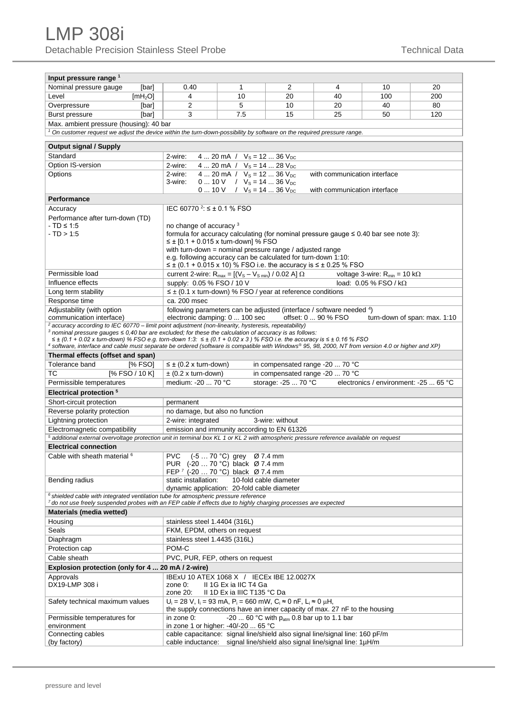| Input pressure range <sup>1</sup>                                                                                                                  |                                                                                                                     |                                       |                                                        |                              |                                        |                              |
|----------------------------------------------------------------------------------------------------------------------------------------------------|---------------------------------------------------------------------------------------------------------------------|---------------------------------------|--------------------------------------------------------|------------------------------|----------------------------------------|------------------------------|
| Nominal pressure gauge<br>[bar]                                                                                                                    | 0.40                                                                                                                | 1                                     | $\overline{2}$                                         | 4                            | 10                                     | 20                           |
| Level<br>[mH <sub>2</sub> O]                                                                                                                       | 4                                                                                                                   | 10                                    | 20                                                     | 40                           | 100                                    | 200                          |
| Overpressure<br>[bar]                                                                                                                              | $\overline{2}$                                                                                                      | 5                                     | 10                                                     | 20                           | 40                                     | 80                           |
| <b>Burst pressure</b><br>[bar]                                                                                                                     | 3                                                                                                                   | 7.5                                   | 15                                                     | 25                           | 50                                     | 120                          |
| Max. ambient pressure (housing): 40 bar                                                                                                            |                                                                                                                     |                                       |                                                        |                              |                                        |                              |
| $1$ On customer request we adjust the device within the turn-down-possibility by software on the required pressure range.                          |                                                                                                                     |                                       |                                                        |                              |                                        |                              |
|                                                                                                                                                    |                                                                                                                     |                                       |                                                        |                              |                                        |                              |
| <b>Output signal / Supply</b>                                                                                                                      |                                                                                                                     |                                       |                                                        |                              |                                        |                              |
| Standard                                                                                                                                           | 2-wire:                                                                                                             | 4  20 mA / $V_s = 12$ 36 $V_{DC}$     |                                                        |                              |                                        |                              |
| Option IS-version                                                                                                                                  | 2-wire:                                                                                                             | 4  20 mA / $V_s = 14$ 28 $V_{DC}$     |                                                        |                              |                                        |                              |
| Options                                                                                                                                            | 2-wire:                                                                                                             | $4 20$ mA $/$ $V_s = 12 36$ $V_{DC}$  |                                                        | with communication interface |                                        |                              |
|                                                                                                                                                    | 3-wire:                                                                                                             | 0  10 V / $V_s = 14$ 36 $V_{DC}$      |                                                        | with communication interface |                                        |                              |
| <b>Performance</b>                                                                                                                                 |                                                                                                                     | 0  10 V / $V_s = 14$ 36 $V_{DC}$      |                                                        |                              |                                        |                              |
|                                                                                                                                                    | IEC 60770 $^{2}$ : ≤ ± 0.1 % FSO                                                                                    |                                       |                                                        |                              |                                        |                              |
| Accuracy                                                                                                                                           |                                                                                                                     |                                       |                                                        |                              |                                        |                              |
| Performance after turn-down (TD)<br>$-TD \leq 1:5$                                                                                                 | no change of accuracy <sup>3</sup>                                                                                  |                                       |                                                        |                              |                                        |                              |
| $-TD > 1.5$                                                                                                                                        | formula for accuracy calculating (for nominal pressure gauge $\leq 0.40$ bar see note 3):                           |                                       |                                                        |                              |                                        |                              |
|                                                                                                                                                    | ≤ ± [0.1 + 0.015 x turn-down] % FSO                                                                                 |                                       |                                                        |                              |                                        |                              |
|                                                                                                                                                    | with turn-down = nominal pressure range / adjusted range                                                            |                                       |                                                        |                              |                                        |                              |
|                                                                                                                                                    | e.g. following accuracy can be calculated for turn-down 1:10:                                                       |                                       |                                                        |                              |                                        |                              |
|                                                                                                                                                    | ≤ ± (0.1 + 0.015 x 10) % FSO i.e. the accuracy is ≤ ± 0.25 % FSO                                                    |                                       |                                                        |                              |                                        |                              |
| Permissible load                                                                                                                                   | current 2-wire: $R_{max} = [(V_s - V_{s,min}) / 0.02 A] \Omega$                                                     |                                       |                                                        |                              | voltage 3-wire: $R_{min} = 10 k\Omega$ |                              |
| Influence effects                                                                                                                                  | supply: 0.05 % FSO / 10 V                                                                                           |                                       |                                                        |                              | load: $0.05\%$ FSO / kQ                |                              |
| Long term stability                                                                                                                                | $\leq \pm$ (0.1 x turn-down) % FSO / year at reference conditions                                                   |                                       |                                                        |                              |                                        |                              |
| Response time                                                                                                                                      | ca. 200 msec                                                                                                        |                                       |                                                        |                              |                                        |                              |
| Adjustability (with option<br>communication interface)                                                                                             | following parameters can be adjusted (interface / software needed 4)<br>electronic damping: 0  100 sec              |                                       |                                                        | offset: 0  90 % FSO          |                                        | turn-down of span: max. 1:10 |
| $2$ accuracy according to IEC 60770 – limit point adjustment (non-linearity, hysteresis, repeatability)                                            |                                                                                                                     |                                       |                                                        |                              |                                        |                              |
| 3 nominal pressure gauges $\leq 0.40$ bar are excluded; for these the calculation of accuracy is as follows:                                       |                                                                                                                     |                                       |                                                        |                              |                                        |                              |
| $\leq \pm$ (0.1 + 0.02 x turn-down) % FSO e.g. torn-down 1:3: $\leq \pm$ (0.1 + 0.02 x 3) % FSO i.e. the accuracy is $\leq \pm$ 0.16 % FSO         |                                                                                                                     |                                       |                                                        |                              |                                        |                              |
| 4 software, interface and cable must separate be ordered (software is compatible with Windows® 95, 98, 2000, NT from version 4.0 or higher and XP) |                                                                                                                     |                                       |                                                        |                              |                                        |                              |
| Thermal effects (offset and span)                                                                                                                  |                                                                                                                     |                                       |                                                        |                              |                                        |                              |
| Tolerance band<br>[% FSO]                                                                                                                          | $\leq \pm$ (0.2 x turn-down)                                                                                        |                                       | in compensated range -20  70 °C                        |                              |                                        |                              |
| <b>TC</b><br>$[%$ FSO / 10 K]                                                                                                                      | $\pm$ (0.2 x turn-down)                                                                                             |                                       | in compensated range -20  70 °C                        |                              |                                        |                              |
| Permissible temperatures                                                                                                                           | medium: -20  70 °C                                                                                                  |                                       | storage: -25  70 °C                                    |                              | electronics / environment: -25  65 °C  |                              |
| Electrical protection <sup>5</sup>                                                                                                                 |                                                                                                                     |                                       |                                                        |                              |                                        |                              |
| Short-circuit protection                                                                                                                           | permanent                                                                                                           |                                       |                                                        |                              |                                        |                              |
| Reverse polarity protection                                                                                                                        | no damage, but also no function                                                                                     |                                       |                                                        |                              |                                        |                              |
| Lightning protection                                                                                                                               | 2-wire: integrated                                                                                                  |                                       | 3-wire: without                                        |                              |                                        |                              |
| Electromagnetic compatibility                                                                                                                      | emission and immunity according to EN 61326                                                                         |                                       |                                                        |                              |                                        |                              |
| <sup>5</sup> additional external overvoltage protection unit in terminal box KL 1 or KL 2 with atmospheric pressure reference available on request |                                                                                                                     |                                       |                                                        |                              |                                        |                              |
| <b>Electrical connection</b>                                                                                                                       |                                                                                                                     |                                       |                                                        |                              |                                        |                              |
| Cable with sheath material <sup>6</sup>                                                                                                            | PVC.<br>PUR (-20  70 °C) black Ø 7.4 mm                                                                             | $(-570 °C)$ grey $\varnothing$ 7.4 mm |                                                        |                              |                                        |                              |
|                                                                                                                                                    | FEP 7 (-20  70 °C) black Ø 7.4 mm                                                                                   |                                       |                                                        |                              |                                        |                              |
| Bending radius                                                                                                                                     | static installation:                                                                                                |                                       | 10-fold cable diameter                                 |                              |                                        |                              |
|                                                                                                                                                    | dynamic application: 20-fold cable diameter                                                                         |                                       |                                                        |                              |                                        |                              |
| $6$ shielded cable with integrated ventilation tube for atmospheric pressure reference                                                             |                                                                                                                     |                                       |                                                        |                              |                                        |                              |
| 7 do not use freely suspended probes with an FEP cable if effects due to highly charging processes are expected                                    |                                                                                                                     |                                       |                                                        |                              |                                        |                              |
| Materials (media wetted)                                                                                                                           |                                                                                                                     |                                       |                                                        |                              |                                        |                              |
| Housing                                                                                                                                            | stainless steel 1.4404 (316L)                                                                                       |                                       |                                                        |                              |                                        |                              |
| Seals                                                                                                                                              | FKM, EPDM, others on request                                                                                        |                                       |                                                        |                              |                                        |                              |
| Diaphragm                                                                                                                                          |                                                                                                                     |                                       |                                                        |                              |                                        |                              |
|                                                                                                                                                    | stainless steel 1.4435 (316L)                                                                                       |                                       |                                                        |                              |                                        |                              |
| Protection cap                                                                                                                                     | POM-C                                                                                                               |                                       |                                                        |                              |                                        |                              |
| Cable sheath                                                                                                                                       | PVC, PUR, FEP, others on request                                                                                    |                                       |                                                        |                              |                                        |                              |
| Explosion protection (only for 4  20 mA / 2-wire)                                                                                                  |                                                                                                                     |                                       |                                                        |                              |                                        |                              |
| Approvals                                                                                                                                          | IBExU 10 ATEX 1068 X / IECEx IBE 12.0027X                                                                           |                                       |                                                        |                              |                                        |                              |
| DX19-LMP 308 i                                                                                                                                     | zone 0:                                                                                                             | II 1G Ex ia IIC T4 Ga                 |                                                        |                              |                                        |                              |
|                                                                                                                                                    | zone 20:                                                                                                            | II 1D Ex ia IIIC T135 °C Da           |                                                        |                              |                                        |                              |
| Safety technical maximum values                                                                                                                    | $U_i = 28$ V, $I_i = 93$ mA, $P_i = 660$ mW, $C_i \approx 0$ nF, $L_i \approx 0$ $\mu$ H,                           |                                       |                                                        |                              |                                        |                              |
|                                                                                                                                                    | the supply connections have an inner capacity of max. 27 nF to the housing                                          |                                       |                                                        |                              |                                        |                              |
| Permissible temperatures for<br>environment                                                                                                        | in zone 0:                                                                                                          |                                       | -20  60 °C with p <sub>atm</sub> 0.8 bar up to 1.1 bar |                              |                                        |                              |
| Connecting cables                                                                                                                                  | in zone 1 or higher: -40/-20  65 °C<br>cable capacitance: signal line/shield also signal line/signal line: 160 pF/m |                                       |                                                        |                              |                                        |                              |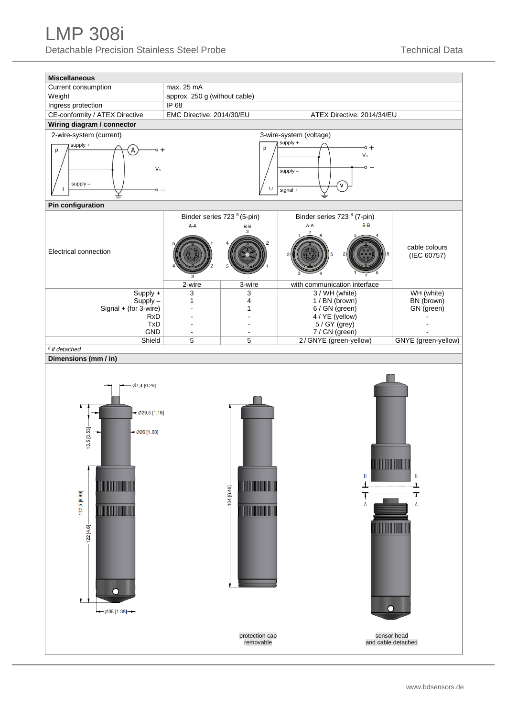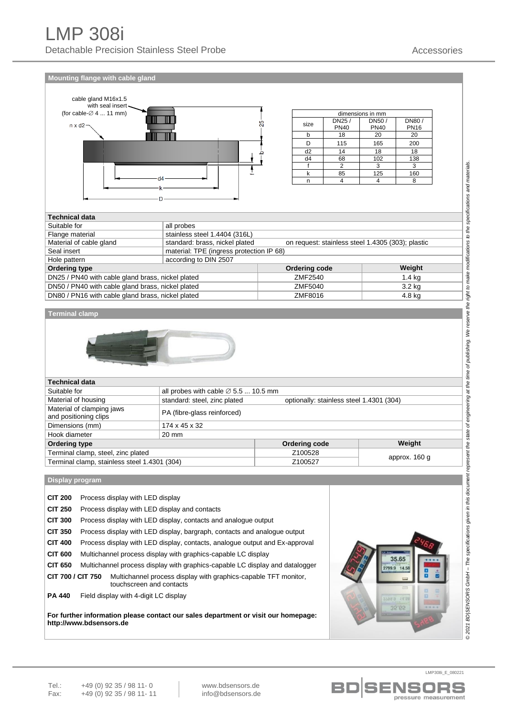**Mounting flange with cable gland**



| dimensions in mm |             |             |             |  |  |
|------------------|-------------|-------------|-------------|--|--|
| size             | DN25/       | DN50/       | DN80/       |  |  |
|                  | <b>PN40</b> | <b>PN40</b> | <b>PN16</b> |  |  |
|                  | 18          | 20          | 20          |  |  |
|                  | 115         | 165         | 200         |  |  |
| d <sub>2</sub>   | 14          | 18          | 18          |  |  |
| d4               | 68          | 102         | 138         |  |  |
|                  | 2           | 3           | 3           |  |  |
|                  | 85          | 125         | 160         |  |  |
|                  |             |             |             |  |  |

| <b>Technical data</b>                             |                                                                                     |               |                   |  |
|---------------------------------------------------|-------------------------------------------------------------------------------------|---------------|-------------------|--|
| Suitable for                                      | all probes                                                                          |               |                   |  |
| Flange material                                   | stainless steel 1.4404 (316L)                                                       |               |                   |  |
| Material of cable gland                           | standard: brass, nickel plated<br>on request: stainless steel 1.4305 (303); plastic |               |                   |  |
| Seal insert                                       | material: TPE (ingress protection IP 68)                                            |               |                   |  |
| Hole pattern                                      | according to DIN 2507                                                               |               |                   |  |
| <b>Ordering type</b>                              |                                                                                     | Ordering code | Weight            |  |
| DN25 / PN40 with cable gland brass, nickel plated |                                                                                     | ZMF2540       | 1.4 <sub>kq</sub> |  |
| DN50 / PN40 with cable gland brass, nickel plated | ZMF5040                                                                             |               | 3.2 kg            |  |
| DN80 / PN16 with cable gland brass, nickel plated |                                                                                     | ZMF8016       | 4.8 kg            |  |

#### **Terminal clamp**



| <b>Technical data</b>                              |                                                                          |               |               |  |
|----------------------------------------------------|--------------------------------------------------------------------------|---------------|---------------|--|
| Suitable for                                       | all probes with cable $\varnothing$ 5.5  10.5 mm                         |               |               |  |
| Material of housing                                | standard: steel, zinc plated<br>optionally: stainless steel 1.4301 (304) |               |               |  |
| Material of clamping jaws<br>and positioning clips | PA (fibre-glass reinforced)                                              |               |               |  |
| Dimensions (mm)                                    | 174 x 45 x 32                                                            |               |               |  |
| Hook diameter                                      | 20 mm                                                                    |               |               |  |
| <b>Ordering type</b>                               |                                                                          | Ordering code | Weight        |  |
| Terminal clamp, steel, zinc plated                 |                                                                          | Z100528       | approx. 160 g |  |
| Terminal clamp, stainless steel 1.4301 (304)       |                                                                          | Z100527       |               |  |

**Display program**

| <b>CIT 200</b>    | Process display with LED display                                                            |  |  |  |
|-------------------|---------------------------------------------------------------------------------------------|--|--|--|
| <b>CIT 250</b>    | Process display with LED display and contacts                                               |  |  |  |
| <b>CIT 300</b>    | Process display with LED display, contacts and analogue output                              |  |  |  |
| <b>CIT 350</b>    | Process display with LED display, bargraph, contacts and analogue output                    |  |  |  |
| <b>CIT 400</b>    | Process display with LED display, contacts, analogue output and Ex-approval                 |  |  |  |
| <b>CIT 600</b>    | Multichannel process display with graphics-capable LC display                               |  |  |  |
| <b>CIT 650</b>    | Multichannel process display with graphics-capable LC display and datalogger                |  |  |  |
| CIT 700 / CIT 750 | Multichannel process display with graphics-capable TFT monitor,<br>touchscreen and contacts |  |  |  |
| <b>PA 440</b>     | Field display with 4-digit LC display                                                       |  |  |  |

**For further information please contact our sales department or visit our homepage: http://www.bdsensors.de**